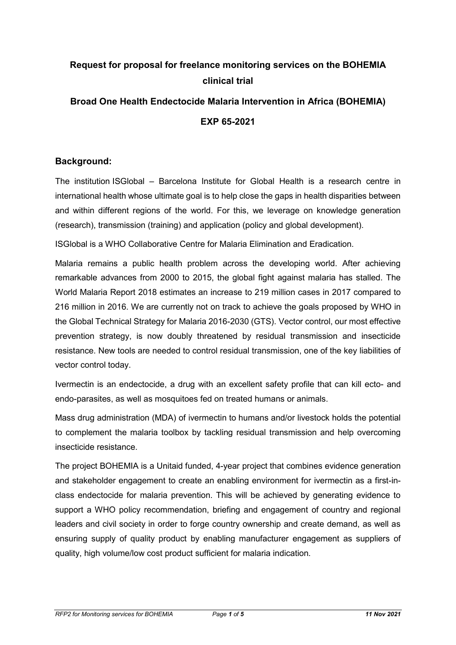## **Request for proposal for freelance monitoring services on the BOHEMIA clinical trial**

# **Broad One Health Endectocide Malaria Intervention in Africa (BOHEMIA) EXP 65-2021**

## **Background:**

The institution ISGlobal – Barcelona Institute for Global Health is a research centre in international health whose ultimate goal is to help close the gaps in health disparities between and within different regions of the world. For this, we leverage on knowledge generation (research), transmission (training) and application (policy and global development).

ISGlobal is a WHO Collaborative Centre for Malaria Elimination and Eradication.

Malaria remains a public health problem across the developing world. After achieving remarkable advances from 2000 to 2015, the global fight against malaria has stalled. The World Malaria Report 2018 estimates an increase to 219 million cases in 2017 compared to 216 million in 2016. We are currently not on track to achieve the goals proposed by WHO in the Global Technical Strategy for Malaria 2016-2030 (GTS). Vector control, our most effective prevention strategy, is now doubly threatened by residual transmission and insecticide resistance. New tools are needed to control residual transmission, one of the key liabilities of vector control today.

Ivermectin is an endectocide, a drug with an excellent safety profile that can kill ecto- and endo-parasites, as well as mosquitoes fed on treated humans or animals.

Mass drug administration (MDA) of ivermectin to humans and/or livestock holds the potential to complement the malaria toolbox by tackling residual transmission and help overcoming insecticide resistance.

The project BOHEMIA is a Unitaid funded, 4-year project that combines evidence generation and stakeholder engagement to create an enabling environment for ivermectin as a first-inclass endectocide for malaria prevention. This will be achieved by generating evidence to support a WHO policy recommendation, briefing and engagement of country and regional leaders and civil society in order to forge country ownership and create demand, as well as ensuring supply of quality product by enabling manufacturer engagement as suppliers of quality, high volume/low cost product sufficient for malaria indication.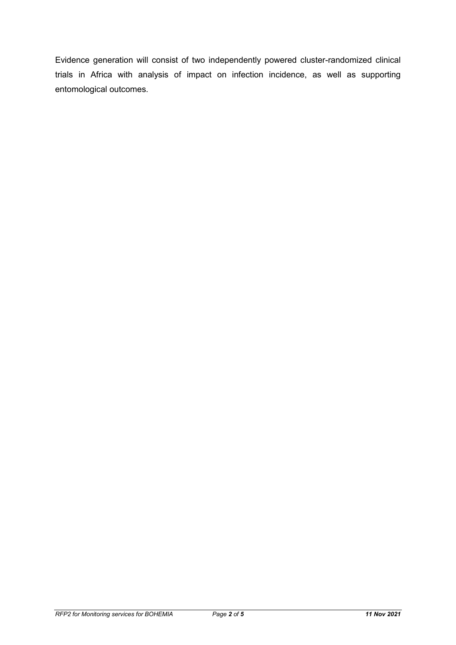Evidence generation will consist of two independently powered cluster-randomized clinical trials in Africa with analysis of impact on infection incidence, as well as supporting entomological outcomes.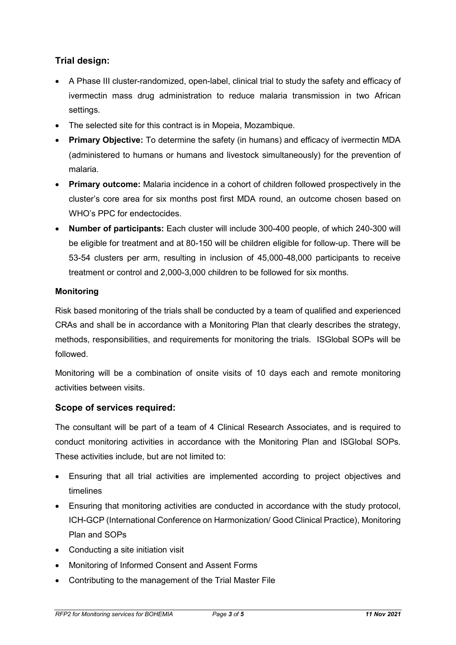## **Trial design:**

- A Phase III cluster-randomized, open-label, clinical trial to study the safety and efficacy of ivermectin mass drug administration to reduce malaria transmission in two African settings.
- The selected site for this contract is in Mopeia, Mozambique.
- **Primary Objective:** To determine the safety (in humans) and efficacy of ivermectin MDA (administered to humans or humans and livestock simultaneously) for the prevention of malaria.
- **Primary outcome:** Malaria incidence in a cohort of children followed prospectively in the cluster's core area for six months post first MDA round, an outcome chosen based on WHO's PPC for endectocides.
- **Number of participants:** Each cluster will include 300-400 people, of which 240-300 will be eligible for treatment and at 80-150 will be children eligible for follow-up. There will be 53-54 clusters per arm, resulting in inclusion of 45,000-48,000 participants to receive treatment or control and 2,000-3,000 children to be followed for six months.

#### **Monitoring**

Risk based monitoring of the trials shall be conducted by a team of qualified and experienced CRAs and shall be in accordance with a Monitoring Plan that clearly describes the strategy, methods, responsibilities, and requirements for monitoring the trials. ISGlobal SOPs will be followed.

Monitoring will be a combination of onsite visits of 10 days each and remote monitoring activities between visits.

#### **Scope of services required:**

The consultant will be part of a team of 4 Clinical Research Associates, and is required to conduct monitoring activities in accordance with the Monitoring Plan and ISGlobal SOPs. These activities include, but are not limited to:

- Ensuring that all trial activities are implemented according to project objectives and timelines
- Ensuring that monitoring activities are conducted in accordance with the study protocol, ICH-GCP (International Conference on Harmonization/ Good Clinical Practice), Monitoring Plan and SOPs
- Conducting a site initiation visit
- Monitoring of Informed Consent and Assent Forms
- Contributing to the management of the Trial Master File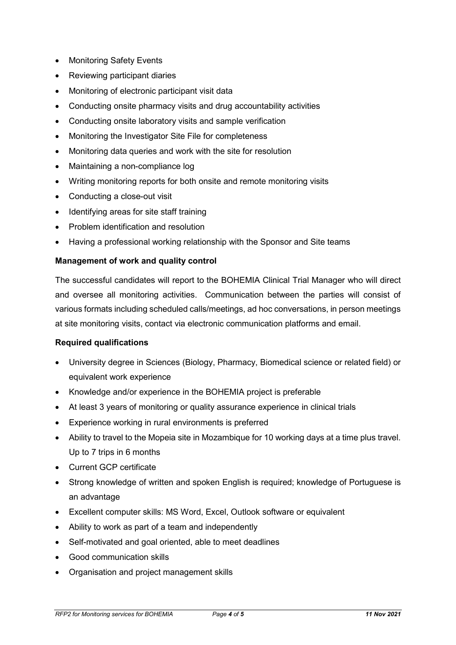- Monitoring Safety Events
- Reviewing participant diaries
- Monitoring of electronic participant visit data
- Conducting onsite pharmacy visits and drug accountability activities
- Conducting onsite laboratory visits and sample verification
- Monitoring the Investigator Site File for completeness
- Monitoring data queries and work with the site for resolution
- Maintaining a non-compliance log
- Writing monitoring reports for both onsite and remote monitoring visits
- Conducting a close-out visit
- Identifying areas for site staff training
- Problem identification and resolution
- Having a professional working relationship with the Sponsor and Site teams

#### **Management of work and quality control**

The successful candidates will report to the BOHEMIA Clinical Trial Manager who will direct and oversee all monitoring activities. Communication between the parties will consist of various formats including scheduled calls/meetings, ad hoc conversations, in person meetings at site monitoring visits, contact via electronic communication platforms and email.

#### **Required qualifications**

- University degree in Sciences (Biology, Pharmacy, Biomedical science or related field) or equivalent work experience
- Knowledge and/or experience in the BOHEMIA project is preferable
- At least 3 years of monitoring or quality assurance experience in clinical trials
- Experience working in rural environments is preferred
- Ability to travel to the Mopeia site in Mozambique for 10 working days at a time plus travel. Up to 7 trips in 6 months
- Current GCP certificate
- Strong knowledge of written and spoken English is required; knowledge of Portuguese is an advantage
- Excellent computer skills: MS Word, Excel, Outlook software or equivalent
- Ability to work as part of a team and independently
- Self-motivated and goal oriented, able to meet deadlines
- Good communication skills
- Organisation and project management skills